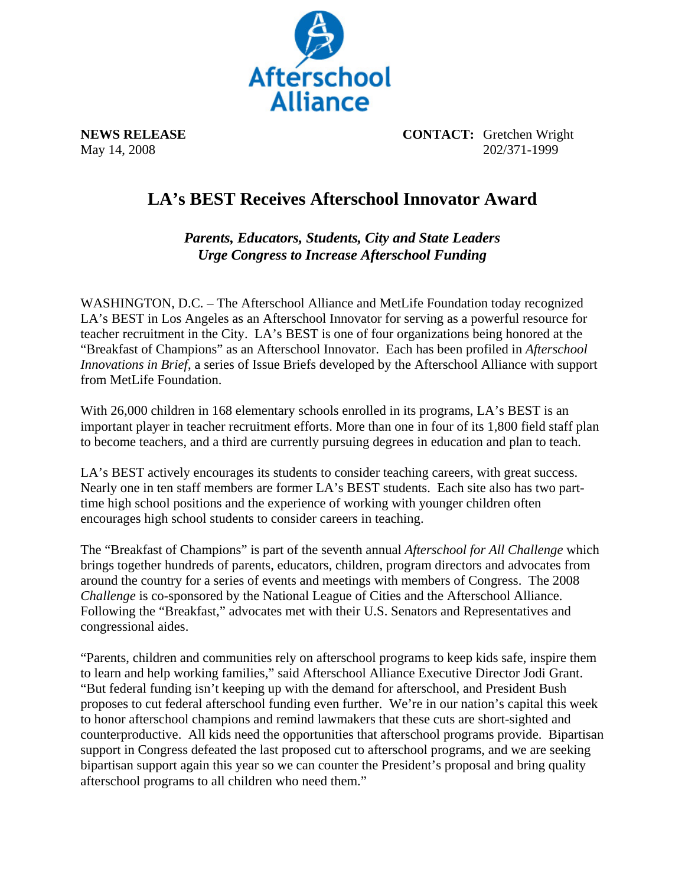

**NEWS RELEASE CONTACT:** Gretchen Wright May 14, 2008 202/371-1999

## **LA's BEST Receives Afterschool Innovator Award**

*Parents, Educators, Students, City and State Leaders Urge Congress to Increase Afterschool Funding* 

WASHINGTON, D.C. – The Afterschool Alliance and MetLife Foundation today recognized LA's BEST in Los Angeles as an Afterschool Innovator for serving as a powerful resource for teacher recruitment in the City. LA's BEST is one of four organizations being honored at the "Breakfast of Champions" as an Afterschool Innovator. Each has been profiled in *Afterschool Innovations in Brief*, a series of Issue Briefs developed by the Afterschool Alliance with support from MetLife Foundation.

With 26,000 children in 168 elementary schools enrolled in its programs, LA's BEST is an important player in teacher recruitment efforts. More than one in four of its 1,800 field staff plan to become teachers, and a third are currently pursuing degrees in education and plan to teach.

LA's BEST actively encourages its students to consider teaching careers, with great success. Nearly one in ten staff members are former LA's BEST students. Each site also has two parttime high school positions and the experience of working with younger children often encourages high school students to consider careers in teaching.

The "Breakfast of Champions" is part of the seventh annual *Afterschool for All Challenge* which brings together hundreds of parents, educators, children, program directors and advocates from around the country for a series of events and meetings with members of Congress. The 2008 *Challenge* is co-sponsored by the National League of Cities and the Afterschool Alliance. Following the "Breakfast," advocates met with their U.S. Senators and Representatives and congressional aides.

"Parents, children and communities rely on afterschool programs to keep kids safe, inspire them to learn and help working families," said Afterschool Alliance Executive Director Jodi Grant. "But federal funding isn't keeping up with the demand for afterschool, and President Bush proposes to cut federal afterschool funding even further. We're in our nation's capital this week to honor afterschool champions and remind lawmakers that these cuts are short-sighted and counterproductive. All kids need the opportunities that afterschool programs provide. Bipartisan support in Congress defeated the last proposed cut to afterschool programs, and we are seeking bipartisan support again this year so we can counter the President's proposal and bring quality afterschool programs to all children who need them."